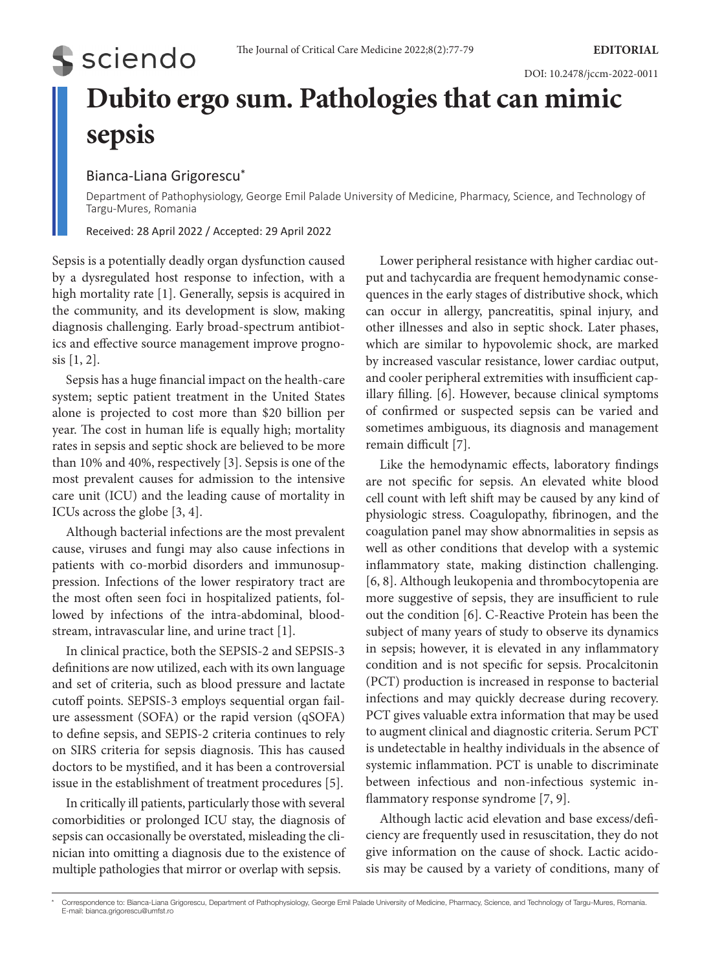# **Dubito ergo sum. Pathologies that can mimic sepsis**

# Bianca-Liana Grigorescu\*

**S** sciendo

Department of Pathophysiology, George Emil Palade University of Medicine, Pharmacy, Science, and Technology of Targu-Mures, Romania

Received: 28 April 2022 / Accepted: 29 April 2022

Sepsis is a potentially deadly organ dysfunction caused by a dysregulated host response to infection, with a high mortality rate [1]. Generally, sepsis is acquired in the community, and its development is slow, making diagnosis challenging. Early broad-spectrum antibiotics and effective source management improve prognosis [1, 2].

Sepsis has a huge financial impact on the health-care system; septic patient treatment in the United States alone is projected to cost more than \$20 billion per year. The cost in human life is equally high; mortality rates in sepsis and septic shock are believed to be more than 10% and 40%, respectively [3]. Sepsis is one of the most prevalent causes for admission to the intensive care unit (ICU) and the leading cause of mortality in ICUs across the globe [3, 4].

Although bacterial infections are the most prevalent cause, viruses and fungi may also cause infections in patients with co-morbid disorders and immunosuppression. Infections of the lower respiratory tract are the most often seen foci in hospitalized patients, followed by infections of the intra-abdominal, bloodstream, intravascular line, and urine tract [1].

In clinical practice, both the SEPSIS-2 and SEPSIS-3 definitions are now utilized, each with its own language and set of criteria, such as blood pressure and lactate cutoff points. SEPSIS-3 employs sequential organ failure assessment (SOFA) or the rapid version (qSOFA) to define sepsis, and SEPIS-2 criteria continues to rely on SIRS criteria for sepsis diagnosis. This has caused doctors to be mystified, and it has been a controversial issue in the establishment of treatment procedures [5].

In critically ill patients, particularly those with several comorbidities or prolonged ICU stay, the diagnosis of sepsis can occasionally be overstated, misleading the clinician into omitting a diagnosis due to the existence of multiple pathologies that mirror or overlap with sepsis.

Lower peripheral resistance with higher cardiac output and tachycardia are frequent hemodynamic consequences in the early stages of distributive shock, which can occur in allergy, pancreatitis, spinal injury, and other illnesses and also in septic shock. Later phases, which are similar to hypovolemic shock, are marked by increased vascular resistance, lower cardiac output, and cooler peripheral extremities with insufficient capillary filling. [6]. However, because clinical symptoms of confirmed or suspected sepsis can be varied and sometimes ambiguous, its diagnosis and management remain difficult [7].

Like the hemodynamic effects, laboratory findings are not specific for sepsis. An elevated white blood cell count with left shift may be caused by any kind of physiologic stress. Coagulopathy, fibrinogen, and the coagulation panel may show abnormalities in sepsis as well as other conditions that develop with a systemic inflammatory state, making distinction challenging. [6, 8]. Although leukopenia and thrombocytopenia are more suggestive of sepsis, they are insufficient to rule out the condition [6]. C-Reactive Protein has been the subject of many years of study to observe its dynamics in sepsis; however, it is elevated in any inflammatory condition and is not specific for sepsis. Procalcitonin (PCT) production is increased in response to bacterial infections and may quickly decrease during recovery. PCT gives valuable extra information that may be used to augment clinical and diagnostic criteria. Serum PCT is undetectable in healthy individuals in the absence of systemic inflammation. PCT is unable to discriminate between infectious and non-infectious systemic inflammatory response syndrome [7, 9].

Although lactic acid elevation and base excess/deficiency are frequently used in resuscitation, they do not give information on the cause of shock. Lactic acidosis may be caused by a variety of conditions, many of

<sup>\*</sup> Correspondence to: Bianca-Liana Grigorescu, Department of Pathophysiology, George Emil Palade University of Medicine, Pharmacy, Science, and Technology of Targu-Mures, Romania. E-mail: bianca.grigorescu@umfst.ro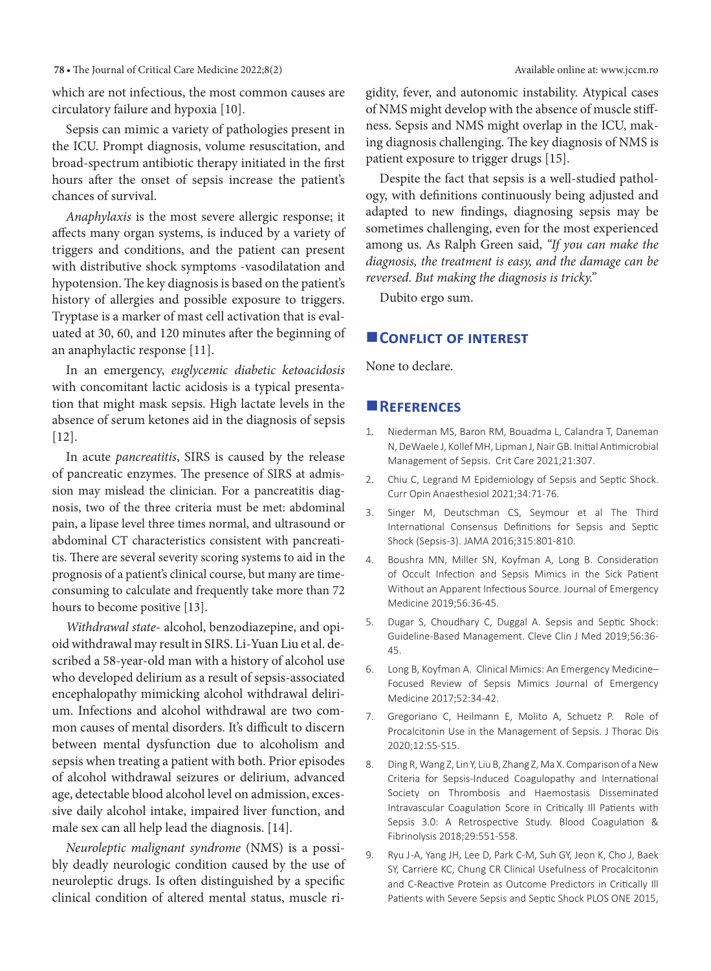### **78 •** The Journal of Critical Care Medicine 2022;8(2) Available online at: www.jccm.ro

which are not infectious, the most common causes are circulatory failure and hypoxia [10].

Sepsis can mimic a variety of pathologies present in the ICU. Prompt diagnosis, volume resuscitation, and broad-spectrum antibiotic therapy initiated in the first hours after the onset of sepsis increase the patient's chances of survival.

*Anaphylaxis* is the most severe allergic response; it affects many organ systems, is induced by a variety of triggers and conditions, and the patient can present with distributive shock symptoms -vasodilatation and hypotension. The key diagnosis is based on the patient's history of allergies and possible exposure to triggers. Tryptase is a marker of mast cell activation that is evaluated at 30, 60, and 120 minutes after the beginning of an anaphylactic response [11].

In an emergency, *euglycemic diabetic ketoacidosis* with concomitant lactic acidosis is a typical presentation that might mask sepsis. High lactate levels in the absence of serum ketones aid in the diagnosis of sepsis [12].

In acute *pancreatitis*, SIRS is caused by the release of pancreatic enzymes. The presence of SIRS at admission may mislead the clinician. For a pancreatitis diagnosis, two of the three criteria must be met: abdominal pain, a lipase level three times normal, and ultrasound or abdominal CT characteristics consistent with pancreatitis. There are several severity scoring systems to aid in the prognosis of a patient's clinical course, but many are timeconsuming to calculate and frequently take more than 72 hours to become positive [13].

*Withdrawal state*- alcohol, benzodiazepine, and opioid withdrawal may result in SIRS. Li-Yuan Liu et al. described a 58-year-old man with a history of alcohol use who developed delirium as a result of sepsis-associated encephalopathy mimicking alcohol withdrawal delirium. Infections and alcohol withdrawal are two common causes of mental disorders. It's difficult to discern between mental dysfunction due to alcoholism and sepsis when treating a patient with both. Prior episodes of alcohol withdrawal seizures or delirium, advanced age, detectable blood alcohol level on admission, excessive daily alcohol intake, impaired liver function, and male sex can all help lead the diagnosis. [14].

*Neuroleptic malignant syndrome* (NMS) is a possibly deadly neurologic condition caused by the use of neuroleptic drugs. Is often distinguished by a specific clinical condition of altered mental status, muscle rigidity, fever, and autonomic instability. Atypical cases of NMS might develop with the absence of muscle stiffness. Sepsis and NMS might overlap in the ICU, making diagnosis challenging. The key diagnosis of NMS is patient exposure to trigger drugs [15].

Despite the fact that sepsis is a well-studied pathology, with definitions continuously being adjusted and adapted to new findings, diagnosing sepsis may be sometimes challenging, even for the most experienced among us. As Ralph Green said, *"If you can make the diagnosis, the treatment is easy, and the damage can be reversed. But making the diagnosis is tricky."*

Dubito ergo sum.

# **CONFLICT OF INTEREST**

None to declare.

## **References**

- 1. Niederman MS, Baron RM, Bouadma L, Calandra T, Daneman N, DeWaele J, Kollef MH, Lipman J, Nair GB. Initial Antimicrobial Management of Sepsis. Crit Care 2021;21:307.
- 2. Chiu C, Legrand M Epidemiology of Sepsis and Septic Shock. Curr Opin Anaesthesiol 2021;34:71-76.
- 3. Singer M, Deutschman CS, Seymour et al The Third International Consensus Definitions for Sepsis and Septic Shock (Sepsis-3). JAMA 2016;315:801-810.
- 4. Boushra MN, Miller SN, Koyfman A, Long B. Consideration of Occult Infection and Sepsis Mimics in the Sick Patient Without an Apparent Infectious Source. Journal of Emergency Medicine 2019;56:36-45.
- 5. Dugar S, Choudhary C, Duggal A. Sepsis and Septic Shock: Guideline-Based Management. Cleve Clin J Med 2019;56:36- 45.
- 6. Long B, Koyfman A. Clinical Mimics: An Emergency Medicine– Focused Review of Sepsis Mimics Journal of Emergency Medicine 2017;52:34-42.
- 7. Gregoriano C, Heilmann E, Molito A, Schuetz P. Role of Procalcitonin Use in the Management of Sepsis. J Thorac Dis 2020;12:S5-S15.
- 8. Ding R, Wang Z, Lin Y, Liu B, Zhang Z, Ma X. Comparison of a New Criteria for Sepsis-Induced Coagulopathy and International Society on Thrombosis and Haemostasis Disseminated Intravascular Coagulation Score in Critically Ill Patients with Sepsis 3.0: A Retrospective Study. Blood Coagulation & Fibrinolysis 2018;29:551-558.
- 9. Ryu J-A, Yang JH, Lee D, Park C-M, Suh GY, Jeon K, Cho J, Baek SY, Carriere KC, Chung CR Clinical Usefulness of Procalcitonin and C-Reactive Protein as Outcome Predictors in Critically Ill Patients with Severe Sepsis and Septic Shock PLOS ONE 2015,